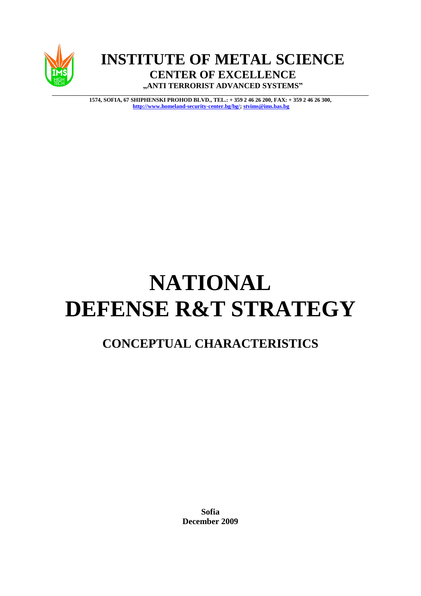

**INSTITUTE OF METAL SCIENCE CENTER OF EXCELLENCE "ANTI TERRORIST ADVANCED SYSTEMS"**

**\_\_\_\_\_\_\_\_\_\_\_\_\_\_\_\_\_\_\_\_\_\_\_\_\_\_\_\_\_\_\_\_\_\_\_\_\_\_\_\_\_\_\_\_\_\_\_\_\_\_\_\_\_\_\_\_\_\_\_\_\_\_\_\_\_\_\_\_\_\_\_\_\_\_\_\_\_\_\_\_\_\_\_\_\_\_\_\_\_\_\_\_\_\_\_\_\_\_\_\_\_\_\_\_\_\_\_\_\_\_\_\_ 1574, SOFIA, 67 SHIPHENSKI PROHOD BLVD., TEL.: + 359 2 46 26 200, FAX: + 359 2 46 26 300, [http://www.homeland-security-center.bg/bg/;](http://www.homeland-security-center.bg/bg/) [stvims@ims.bas.bg](mailto:stvims@ims.bas.bg)**

# **NATIONAL DEFENSE R&T STRATEGY**

# **CONCEPTUAL CHARACTERISTICS**

**Sofia December 2009**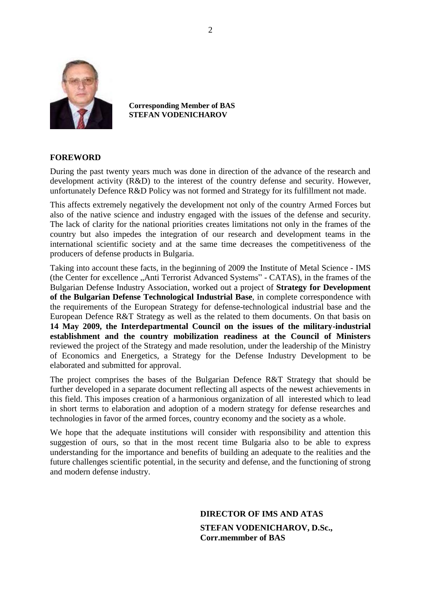

**Corresponding Member of BAS STEFAN VODENICHAROV**

## **FOREWORD**

During the past twenty years much was done in direction of the advance of the research and development activity (R&D) to the interest of the country defense and security. However, unfortunately Defence R&D Policy was not formed and Strategy for its fulfillment not made.

This affects extremely negatively the development not only of the country Armed Forces but also of the native science and industry engaged with the issues of the defense and security. The lack of clarity for the national priorities creates limitations not only in the frames of the country but also impedes the integration of our research and development teams in the international scientific society and at the same time decreases the competitiveness of the producers of defense products in Bulgaria.

Taking into account these facts, in the beginning of 2009 the Institute of Metal Science - IMS (the Center for excellence "Anti Terrorist Advanced Systems" - CATAS), in the frames of the Bulgarian Defense Industry Association, worked out a project of **Strategy for Development of the Bulgarian Defense Technological Industrial Base**, in complete correspondence with the requirements of the European Strategy for defense-technological industrial base and the European Defence R&T Strategy as well as the related to them documents. On that basis on **14 May 2009, the Interdepartmental Council on the issues of the military-industrial establishment and the country mobilization readiness at the Council of Ministers**  reviewed the project of the Strategy and made resolution, under the leadership of the Ministry of Economics and Energetics, a Strategy for the Defense Industry Development to be elaborated and submitted for approval.

The project comprises the bases of the Bulgarian Defence R&T Strategy that should be further developed in a separate document reflecting all aspects of the newest achievements in this field. This imposes creation of a harmonious organization of all interested which to lead in short terms to elaboration and adoption of a modern strategy for defense researches and technologies in favor of the armed forces, country economy and the society as a whole.

We hope that the adequate institutions will consider with responsibility and attention this suggestion of ours, so that in the most recent time Bulgaria also to be able to express understanding for the importance and benefits of building an adequate to the realities and the future challenges scientific potential, in the security and defense, and the functioning of strong and modern defense industry.

# **DIRECTOR OF IMS AND ATAS STEFAN VODENICHAROV, D.Sc., Corr.memmber of BAS**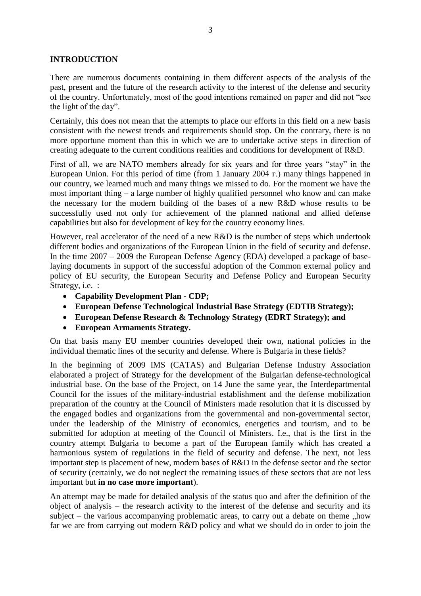## **INTRODUCTION**

There are numerous documents containing in them different aspects of the analysis of the past, present and the future of the research activity to the interest of the defense and security of the country. Unfortunately, most of the good intentions remained on paper and did not "see the light of the day".

Certainly, this does not mean that the attempts to place our efforts in this field on a new basis consistent with the newest trends and requirements should stop. On the contrary, there is no more opportune moment than this in which we are to undertake active steps in direction of creating adequate to the current conditions realities and conditions for development of R&D.

First of all, we are NATO members already for six years and for three years "stay" in the European Union. For this period of time (from 1 January 2004 г.) many things happened in our country, we learned much and many things we missed to do. For the moment we have the most important thing – a large number of highly qualified personnel who know and can make the necessary for the modern building of the bases of a new R&D whose results to be successfully used not only for achievement of the planned national and allied defense capabilities but also for development of key for the country economy lines.

However, real accelerator of the need of a new R&D is the number of steps which undertook different bodies and organizations of the European Union in the field of security and defense. In the time 2007 – 2009 the European Defense Agency (EDA) developed a package of baselaying documents in support of the successful adoption of the Common external policy and policy of EU security, the European Security and Defense Policy and European Security Strategy, i.e. :

- **Capability Development Plan - CDP;**
- **European Defense Technological Industrial Base Strategy (EDTIB Strategy);**
- **European Defense Research & Technology Strategy (EDRT Strategy); and**
- **European Armaments Strategy.**

On that basis many EU member countries developed their own, national policies in the individual thematic lines of the security and defense. Where is Bulgaria in these fields?

In the beginning of 2009 IMS (CATAS) and Bulgarian Defense Industry Association elaborated a project of Strategy for the development of the Bulgarian defense-technological industrial base. On the base of the Project, on 14 June the same year, the Interdepartmental Council for the issues of the military-industrial establishment and the defense mobilization preparation of the country at the Council of Ministers made resolution that it is discussed by the engaged bodies and organizations from the governmental and non-governmental sector, under the leadership of the Ministry of economics, energetics and tourism, and to be submitted for adoption at meeting of the Council of Ministers. I.e., that is the first in the country attempt Bulgaria to become a part of the European family which has created a harmonious system of regulations in the field of security and defense. The next, not less important step is placement of new, modern bases of R&D in the defense sector and the sector of security (certainly, we do not neglect the remaining issues of these sectors that are not less important but **in no case more important**).

An attempt may be made for detailed analysis of the status quo and after the definition of the object of analysis – the research activity to the interest of the defense and security and its subject – the various accompanying problematic areas, to carry out a debate on theme  $n$ , how far we are from carrying out modern R&D policy and what we should do in order to join the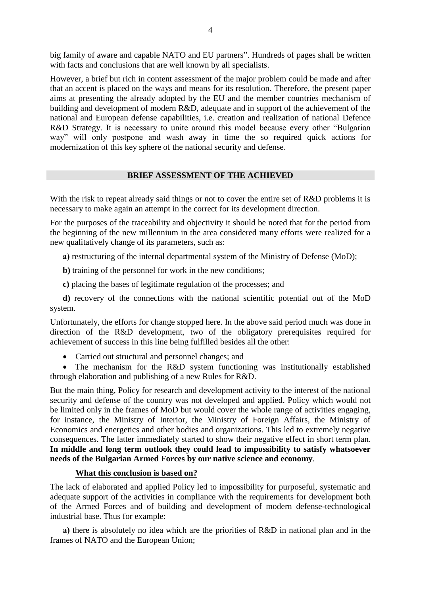big family of aware and capable NATO and EU partners". Hundreds of pages shall be written with facts and conclusions that are well known by all specialists.

However, a brief but rich in content assessment of the major problem could be made and after that an accent is placed on the ways and means for its resolution. Therefore, the present paper aims at presenting the already adopted by the EU and the member countries mechanism of building and development of modern R&D, adequate and in support of the achievement of the national and European defense capabilities, i.e. creation and realization of national Defence R&D Strategy. It is necessary to unite around this model because every other "Bulgarian" way" will only postpone and wash away in time the so required quick actions for modernization of this key sphere of the national security and defense.

#### **BRIEF ASSESSMENT OF THE ACHIEVED**

With the risk to repeat already said things or not to cover the entire set of R&D problems it is necessary to make again an attempt in the correct for its development direction.

For the purposes of the traceability and objectivity it should be noted that for the period from the beginning of the new millennium in the area considered many efforts were realized for a new qualitatively change of its parameters, such as:

**a**) restructuring of the internal departmental system of the Ministry of Defense (MoD);

**b)** training of the personnel for work in the new conditions;

**c)** placing the bases of legitimate regulation of the processes; and

**d)** recovery of the connections with the national scientific potential out of the MoD system.

Unfortunately, the efforts for change stopped here. In the above said period much was done in direction of the R&D development, two of the obligatory prerequisites required for achievement of success in this line being fulfilled besides all the other:

• Carried out structural and personnel changes; and

• The mechanism for the R&D system functioning was institutionally established through elaboration and publishing of a new Rules for R&D.

But the main thing, Policy for research and development activity to the interest of the national security and defense of the country was not developed and applied. Policy which would not be limited only in the frames of MoD but would cover the whole range of activities engaging, for instance, the Ministry of Interior, the Ministry of Foreign Affairs, the Ministry of Economics and energetics and other bodies and organizations. This led to extremely negative consequences. The latter immediately started to show their negative effect in short term plan. **In middle and long term outlook they could lead to impossibility to satisfy whatsoever needs of the Bulgarian Armed Forces by our native science and economy**.

#### **What this conclusion is based on?**

The lack of elaborated and applied Policy led to impossibility for purposeful, systematic and adequate support of the activities in compliance with the requirements for development both of the Armed Forces and of building and development of modern defense-technological industrial base. Thus for example:

**а)** there is absolutely no idea which are the priorities of R&D in national plan and in the frames of NATO and the European Union;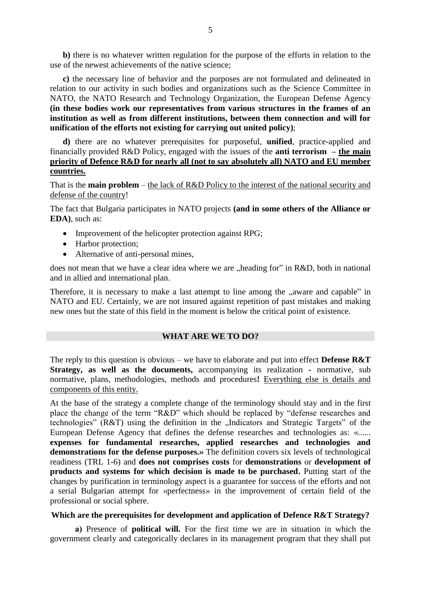**b)** there is no whatever written regulation for the purpose of the efforts in relation to the use of the newest achievements of the native science;

**c)** the necessary line of behavior and the purposes are not formulated and delineated in relation to our activity in such bodies and organizations such as the Science Committee in NATO, the NATO Research and Technology Organization, the European Defense Agency **(in these bodies work our representatives from various structures in the frames of an institution as well as from different institutions, between them connection and will for unification of the efforts not existing for carrying out united policy)**;

**d)** there are no whatever prerequisites for purposeful, **unified**, practice-applied and financially provided R&D Policy, engaged with the issues of the **anti terrorism – the main priority of Defence R&D for nearly all (not to say absolutely all) NATO and EU member countries.**

That is the **main problem** – the lack of R&D Policy to the interest of the national security and defense of the country!

The fact that Bulgaria participates in NATO projects **(and in some others of the Alliance or EDA)**, such as:

- Improvement of the helicopter protection against RPG;
- Harbor protection;
- Alternative of anti-personal mines,

does not mean that we have a clear idea where we are "heading for" in R&D, both in national and in allied and international plan.

Therefore, it is necessary to make a last attempt to line among the "aware and capable" in NATO and EU. Certainly, we are not insured against repetition of past mistakes and making new ones but the state of this field in the moment is below the critical point of existence.

#### **WHAT ARE WE TO DO?**

The reply to this question is obvious – we have to elaborate and put into effect **Defense R&T Strategy, as well as the documents,** accompanying its realization **-** normative, sub normative, plans, methodologies, methods and procedures**!** Everything else is details and components of this entity.

At the base of the strategy a complete change of the terminology should stay and in the first place the change of the term "R&D" which should be replaced by "defense researches and technologies" (R&T) using the definition in the "Indicators and Strategic Targets" of the European Defense Agency that defines the defense researches and technologies as: «...... **expenses for fundamental researches, applied researches and technologies and demonstrations for the defense purposes.»** The definition covers six levels of technological readiness (TRL 1-6) and **does not comprises costs** for **demonstrations** or **development of products and systems for which decision is made to be purchased.** Putting start of the changes by purification in terminology aspect is a guarantee for success of the efforts and not a serial Bulgarian attempt for «perfectness» in the improvement of certain field of the professional or social sphere.

#### **Which are the prerequisites for development and application of Defence R&T Strategy?**

**а)** Presence of **political will.** For the first time we are in situation in which the government clearly and categorically declares in its management program that they shall put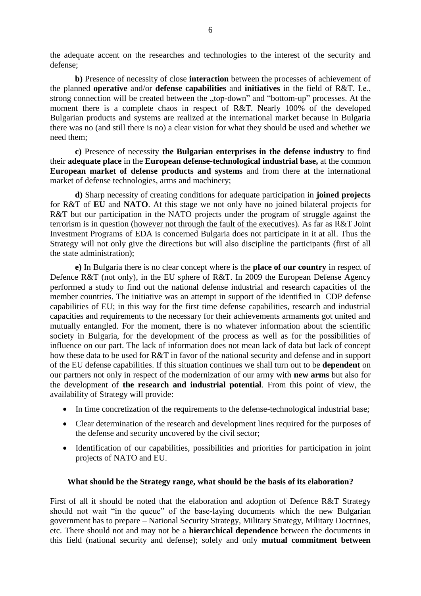the adequate accent on the researches and technologies to the interest of the security and defense;

**b)** Presence of necessity of close **interaction** between the processes of achievement of the planned **operative** and/or **defense capabilities** and **initiatives** in the field of R&T. I.е., strong connection will be created between the "top-down" and "bottom-up" processes. At the moment there is a complete chaos in respect of R&T. Nearly 100% of the developed Bulgarian products and systems are realized at the international market because in Bulgaria there was no (and still there is no) a clear vision for what they should be used and whether we need them;

**c)** Presence of necessity **the Bulgarian enterprises in the defense industry** to find their **adequate place** in the **European defense-technological industrial base,** at the common **European market of defense products and systems** and from there at the international market of defense technologies, arms and machinery;

**d)** Sharp necessity of creating conditions for adequate participation in **joined projects**  for R&T of **EU** and **NATO**. At this stage we not only have no joined bilateral projects for R&T but our participation in the NATO projects under the program of struggle against the terrorism is in question (however not through the fault of the executives). As far as R&T Joint Investment Рrograms of EDA is concerned Bulgaria does not participate in it at all. Thus the Strategy will not only give the directions but will also discipline the participants (first of all the state administration);

**e)** In Bulgaria there is no clear concept where is the **place of our country** in respect of Defence R&T (not only), in the EU sphere of R&T. In 2009 the European Defense Agency performed a study to find out the national defense industrial and research capacities of the member countries. The initiative was an attempt in support of the identified in CDP defense capabilities of EU; in this way for the first time defense capabilities, research and industrial capacities and requirements to the necessary for their achievements armaments got united and mutually entangled. For the moment, there is no whatever information about the scientific society in Bulgaria, for the development of the process as well as for the possibilities of influence on our part. The lack of information does not mean lack of data but lack of concept how these data to be used for R&T in favor of the national security and defense and in support of the EU defense capabilities. If this situation continues we shall turn out to be **dependent** on our partners not only in respect of the modernization of our army with **new arms** but also for the development of **the research and industrial potential**. From this point of view, the availability of Strategy will provide:

- In time concretization of the requirements to the defense-technological industrial base;
- Clear determination of the research and development lines required for the purposes of the defense and security uncovered by the civil sector;
- Identification of our capabilities, possibilities and priorities for participation in joint projects of NATO and EU.

#### **What should be the Strategy range, what should be the basis of its elaboration?**

First of all it should be noted that the elaboration and adoption of Defence R&T Strategy should not wait "in the queue" of the base-laying documents which the new Bulgarian government has to prepare – National Security Strategy, Military Strategy, Military Doctrines, etc. There should not and may not be a **hierarchical dependence** between the documents in this field (national security and defense); solely and only **mutual commitment between**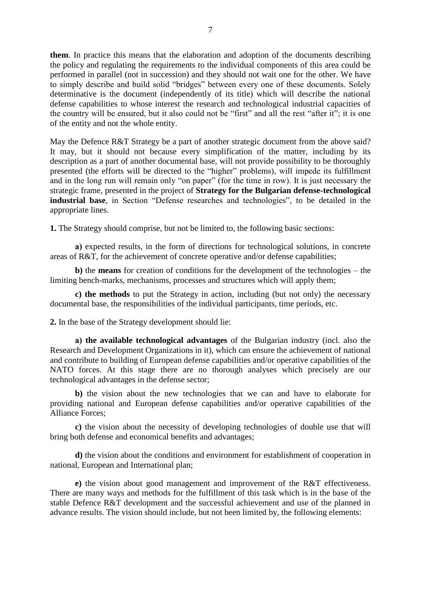**them**. In practice this means that the elaboration and adoption of the documents describing the policy and regulating the requirements to the individual components of this area could be performed in parallel (not in succession) and they should not wait one for the other. We have to simply describe and build solid "bridges" between every one of these documents. Solely determinative is the document (independently of its title) which will describe the national defense capabilities to whose interest the research and technological industrial capacities of the country will be ensured, but it also could not be "first" and all the rest "after it"; it is one of the entity and not the whole entity.

May the Defence R&T Strategy be a part of another strategic document from the above said? It may, but it should not because every simplification of the matter, including by its description as a part of another documental base, will not provide possibility to be thoroughly presented (the efforts will be directed to the "higher" problems), will impede its fulfillment and in the long run will remain only "on paper" (for the time in row). It is just necessary the strategic frame, presented in the project of **Strategy for the Bulgarian defense-technological industrial base**, in Section "Defense researches and technologies", to be detailed in the appropriate lines.

**1.** The Strategy should comprise, but not be limited to, the following basic sections:

**а)** expected results, in the form of directions for technological solutions, in concrete areas of R&T, for the achievement of concrete operative and/or defense capabilities;

**b)** the **means** for creation of conditions for the development of the technologies – the limiting bench-marks, mechanisms, processes and structures which will apply them;

**c) the methods** to put the Strategy in action, including (but not only) the necessary documental base, the responsibilities of the individual participants, time periods, etc.

**2.** In the base of the Strategy development should lie:

**а) the available technological advantages** of the Bulgarian industry (incl. also the Research and Development Organizations in it), which can ensure the achievement of national and contribute to building of European defense capabilities and/or operative capabilities of the NATO forces. At this stage there are no thorough analyses which precisely are our technological advantages in the defense sector;

**b)** the vision about the new technologies that we can and have to elaborate for providing national and European defense capabilities and/or operative capabilities of the Alliance Forces;

**c)** the vision about the necessity of developing technologies of double use that will bring both defense and economical benefits and advantages;

**d)** the vision about the conditions and environment for establishment of cooperation in national, European and International plan;

**e)** the vision about good management and improvement of the R&T effectiveness. There are many ways and methods for the fulfillment of this task which is in the base of the stable Defence R&T development and the successful achievement and use of the planned in advance results. The vision should include, but not been limited by, the following elements: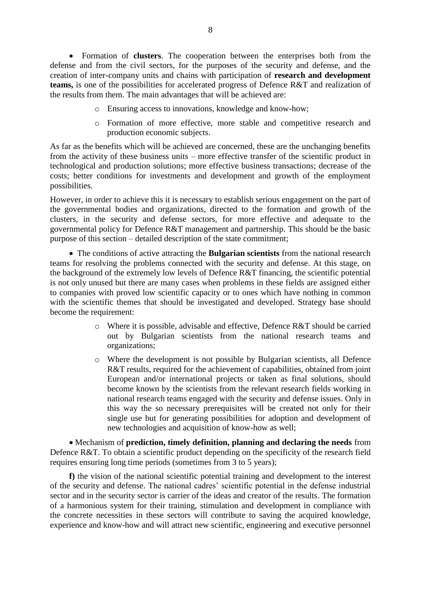Formation of **clusters**. The cooperation between the enterprises both from the defense and from the civil sectors, for the purposes of the security and defense, and the creation of inter-company units and chains with participation of **research and development teams,** is one of the possibilities for accelerated progress of Defence R&T and realization of the results from them. The main advantages that will be achieved are:

- o Ensuring access to innovations, knowledge and know-how;
- o Formation of more effective, more stable and competitive research and production economic subjects.

As far as the benefits which will be achieved are concerned, these are the unchanging benefits from the activity of these business units – more effective transfer of the scientific product in technological and production solutions; more effective business transactions; decrease of the costs; better conditions for investments and development and growth of the employment possibilities.

However, in order to achieve this it is necessary to establish serious engagement on the part of the governmental bodies and organizations, directed to the formation and growth of the clusters, in the security and defense sectors, for more effective and adequate to the governmental policy for Defence R&T management and partnership. This should be the basic purpose of this section – detailed description of the state commitment;

 The conditions of active attracting the **Bulgarian scientists** from the national research teams for resolving the problems connected with the security and defense. At this stage, on the background of the extremely low levels of Defence R&T financing, the scientific potential is not only unused but there are many cases when problems in these fields are assigned either to companies with proved low scientific capacity or to ones which have nothing in common with the scientific themes that should be investigated and developed. Strategy base should become the requirement:

- o Where it is possible, advisable and effective, Defence R&T should be carried out by Bulgarian scientists from the national research teams and organizations;
- o Where the development is not possible by Bulgarian scientists, all Defence R&T results, required for the achievement of capabilities, obtained from joint European and/or international projects or taken as final solutions, should become known by the scientists from the relevant research fields working in national research teams engaged with the security and defense issues. Only in this way the so necessary prerequisites will be created not only for their single use but for generating possibilities for adoption and development of new technologies and acquisition of know-how as well;

 Mechanism of **prediction, timely definition, planning and declaring the needs** from Defence R&T. To obtain a scientific product depending on the specificity of the research field requires ensuring long time periods (sometimes from 3 to 5 years);

**f)** the vision of the national scientific potential training and development to the interest of the security and defense. The national cadres' scientific potential in the defense industrial sector and in the security sector is carrier of the ideas and creator of the results. The formation of a harmonious system for their training, stimulation and development in compliance with the concrete necessities in these sectors will contribute to saving the acquired knowledge, experience and know-how and will attract new scientific, engineering and executive personnel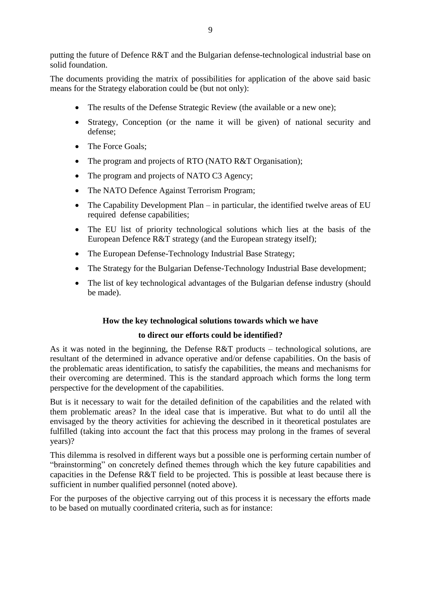putting the future of Defence R&T and the Bulgarian defense-technological industrial base on solid foundation.

The documents providing the matrix of possibilities for application of the above said basic means for the Strategy elaboration could be (but not only):

- The results of the Defense Strategic Review (the available or a new one);
- Strategy, Conception (or the name it will be given) of national security and defense;
- The Force Goals:
- The program and projects of RTO (NATO R&T Organisation);
- The program and projects of NATO C3 Agency;
- The NATO Defence Against Terrorism Program;
- The Capability Development Plan in particular, the identified twelve areas of EU required defense capabilities;
- The EU list of priority technological solutions which lies at the basis of the European Defence R&T strategy (and the European strategy itself);
- The European Defense-Technology Industrial Base Strategy;
- The Strategy for the Bulgarian Defense-Technology Industrial Base development;
- The list of key technological advantages of the Bulgarian defense industry (should be made).

# **How the key technological solutions towards which we have**

# **to direct our efforts could be identified?**

As it was noted in the beginning, the Defense R&T products – technological solutions, are resultant of the determined in advance operative and/or defense capabilities. On the basis of the problematic areas identification, to satisfy the capabilities, the means and mechanisms for their overcoming are determined. This is the standard approach which forms the long term perspective for the development of the capabilities.

But is it necessary to wait for the detailed definition of the capabilities and the related with them problematic areas? In the ideal case that is imperative. But what to do until all the envisaged by the theory activities for achieving the described in it theoretical postulates are fulfilled (taking into account the fact that this process may prolong in the frames of several years)?

This dilemma is resolved in different ways but a possible one is performing certain number of "brainstorming" on concretely defined themes through which the key future capabilities and capacities in the Defense R&T field to be projected. This is possible at least because there is sufficient in number qualified personnel (noted above).

For the purposes of the objective carrying out of this process it is necessary the efforts made to be based on mutually coordinated criteria, such as for instance: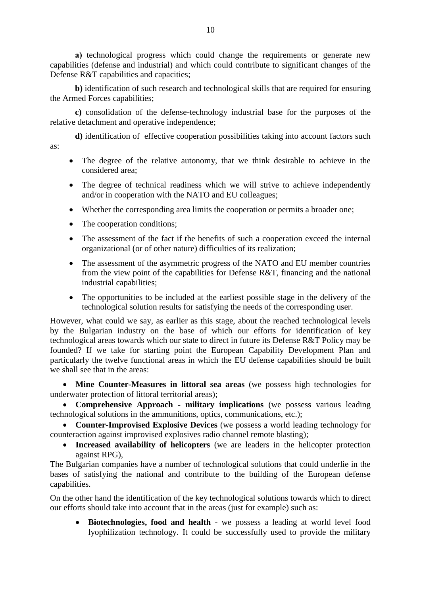**а)** technological progress which could change the requirements or generate new capabilities (defense and industrial) and which could contribute to significant changes of the Defense R&T capabilities and capacities;

**b)** identification of such research and technological skills that are required for ensuring the Armed Forces capabilities;

**c)** consolidation of the defense-technology industrial base for the purposes of the relative detachment and operative independence;

**d)** identification of effective cooperation possibilities taking into account factors such as:

- The degree of the relative autonomy, that we think desirable to achieve in the considered area;
- The degree of technical readiness which we will strive to achieve independently and/or in cooperation with the NATO and EU colleagues;
- Whether the corresponding area limits the cooperation or permits a broader one;
- The cooperation conditions;
- The assessment of the fact if the benefits of such a cooperation exceed the internal organizational (or of other nature) difficulties of its realization;
- The assessment of the asymmetric progress of the NATO and EU member countries from the view point of the capabilities for Defense R&T, financing and the national industrial capabilities;
- The opportunities to be included at the earliest possible stage in the delivery of the technological solution results for satisfying the needs of the corresponding user.

However, what could we say, as earlier as this stage, about the reached technological levels by the Bulgarian industry on the base of which our efforts for identification of key technological areas towards which our state to direct in future its Defense R&T Policy may be founded? If we take for starting point the European Capability Development Plan and particularly the twelve functional areas in which the EU defense capabilities should be built we shall see that in the areas:

 **Mine Counter-Measures in littoral sea areas** (we possess high technologies for underwater protection of littoral territorial areas);

 **Comprehensive Approach - military implications** (we possess various leading technological solutions in the ammunitions, optics, communications, etc.);

 **Counter-Improvised Explosive Devices** (we possess a world leading technology for counteraction against improvised explosives radio channel remote blasting);

 **Increased availability of helicopters** (we are leaders in the helicopter protection against RPG),

The Bulgarian companies have a number of technological solutions that could underlie in the bases of satisfying the national and contribute to the building of the European defense capabilities.

On the other hand the identification of the key technological solutions towards which to direct our efforts should take into account that in the areas (just for example) such as:

 **Biotechnologies, food and health -** we possess a leading at world level food lyophilization technology. It could be successfully used to provide the military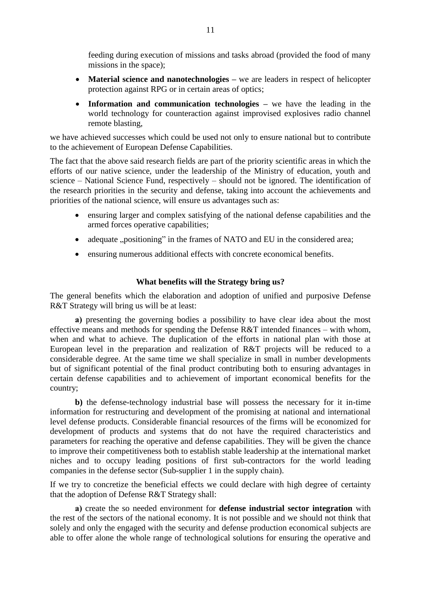feeding during execution of missions and tasks abroad (provided the food of many missions in the space);

- **Material science and nanotechnologies** we are leaders in respect of helicopter protection against RPG or in certain areas of optics;
- **Information and communication technologies –** we have the leading in the world technology for counteraction against improvised explosives radio channel remote blasting,

we have achieved successes which could be used not only to ensure national but to contribute to the achievement of European Defense Capabilities.

The fact that the above said research fields are part of the priority scientific areas in which the efforts of our native science, under the leadership of the Ministry of education, youth and science – National Science Fund, respectively – should not be ignored. The identification of the research priorities in the security and defense, taking into account the achievements and priorities of the national science, will ensure us advantages such as:

- ensuring larger and complex satisfying of the national defense capabilities and the armed forces operative capabilities;
- adequate "positioning" in the frames of NATO and EU in the considered area;
- ensuring numerous additional effects with concrete economical benefits.

# **What benefits will the Strategy bring us?**

The general benefits which the elaboration and adoption of unified and purposive Defense R&T Strategy will bring us will be at least:

**а)** presenting the governing bodies a possibility to have clear idea about the most effective means and methods for spending the Defense R&T intended finances – with whom, when and what to achieve. The duplication of the efforts in national plan with those at European level in the preparation and realization of R&T projects will be reduced to a considerable degree. At the same time we shall specialize in small in number developments but of significant potential of the final product contributing both to ensuring advantages in certain defense capabilities and to achievement of important economical benefits for the country;

**b)** the defense-technology industrial base will possess the necessary for it in-time information for restructuring and development of the promising at national and international level defense products. Considerable financial resources of the firms will be economized for development of products and systems that do not have the required characteristics and parameters for reaching the operative and defense capabilities. They will be given the chance to improve their competitiveness both to establish stable leadership at the international market niches and to occupy leading positions of first sub-contractors for the world leading companies in the defense sector (Sub-supplier 1 in the supply chain).

If we try to concretize the beneficial effects we could declare with high degree of certainty that the adoption of Defense R&T Strategy shall:

**а)** create the so needed environment for **defense industrial sector integration** with the rest of the sectors of the national economy. It is not possible and we should not think that solely and only the engaged with the security and defense production economical subjects are able to offer alone the whole range of technological solutions for ensuring the operative and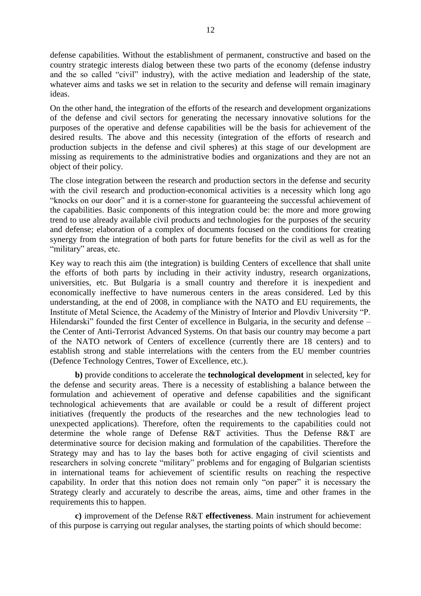defense capabilities. Without the establishment of permanent, constructive and based on the country strategic interests dialog between these two parts of the economy (defense industry and the so called "civil" industry), with the active mediation and leadership of the state, whatever aims and tasks we set in relation to the security and defense will remain imaginary ideas.

On the other hand, the integration of the efforts of the research and development organizations of the defense and civil sectors for generating the necessary innovative solutions for the purposes of the operative and defense capabilities will be the basis for achievement of the desired results. The above and this necessity (integration of the efforts of research and production subjects in the defense and civil spheres) at this stage of our development are missing as requirements to the administrative bodies and organizations and they are not an object of their policy.

The close integration between the research and production sectors in the defense and security with the civil research and production-economical activities is a necessity which long ago "knocks on our door" and it is a corner-stone for guaranteeing the successful achievement of the capabilities. Basic components of this integration could be: the more and more growing trend to use already available civil products and technologies for the purposes of the security and defense; elaboration of a complex of documents focused on the conditions for creating synergy from the integration of both parts for future benefits for the civil as well as for the "military" areas, etc.

Key way to reach this aim (the integration) is building Centers of excellence that shall unite the efforts of both parts by including in their activity industry, research organizations, universities, etc. But Bulgaria is a small country and therefore it is inexpedient and economically ineffective to have numerous centers in the areas considered. Led by this understanding, at the end of 2008, in compliance with the NATO and EU requirements, the Institute of Metal Science, the Academy of the Ministry of Interior and Plovdiv University "P. Hilendarski" founded the first Center of excellence in Bulgaria, in the security and defense – the Center of Anti-Terrorist Advanced Systems. On that basis our country may become a part of the NATO network of Centers of excellence (currently there are 18 centers) and to establish strong and stable interrelations with the centers from the EU member countries (Defence Technology Centres, Tower of Excellence, etc.).

**b)** provide conditions to accelerate the **technological development** in selected, key for the defense and security areas. There is a necessity of establishing a balance between the formulation and achievement of operative and defense capabilities and the significant technological achievements that are available or could be a result of different project initiatives (frequently the products of the researches and the new technologies lead to unexpected applications). Therefore, often the requirements to the capabilities could not determine the whole range of Defense R&T activities. Thus the Defense R&T are determinative source for decision making and formulation of the capabilities. Therefore the Strategy may and has to lay the bases both for active engaging of civil scientists and researchers in solving concrete "military" problems and for engaging of Bulgarian scientists in international teams for achievement of scientific results on reaching the respective capability. In order that this notion does not remain only "on paper" it is necessary the Strategy clearly and accurately to describe the areas, aims, time and other frames in the requirements this to happen.

**c)** improvement of the Defense R&T **effectiveness**. Main instrument for achievement of this purpose is carrying out regular analyses, the starting points of which should become: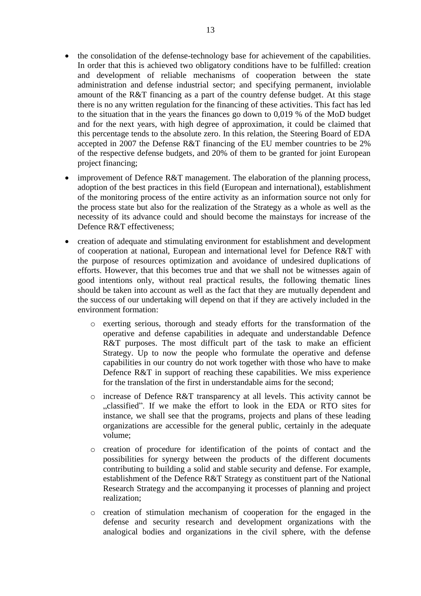- the consolidation of the defense-technology base for achievement of the capabilities. In order that this is achieved two obligatory conditions have to be fulfilled: creation and development of reliable mechanisms of cooperation between the state administration and defense industrial sector; and specifying permanent, inviolable amount of the R&T financing as a part of the country defense budget. At this stage there is no any written regulation for the financing of these activities. This fact has led to the situation that in the years the finances go down to 0,019 % of the MoD budget and for the next years, with high degree of approximation, it could be claimed that this percentage tends to the absolute zero. In this relation, the Steering Board of EDA accepted in 2007 the Defense R&T financing of the EU member countries to be 2% of the respective defense budgets, and 20% of them to be granted for joint European project financing;
- improvement of Defence R&T management. The elaboration of the planning process, adoption of the best practices in this field (European and international), establishment of the monitoring process of the entire activity as an information source not only for the process state but also for the realization of the Strategy as a whole as well as the necessity of its advance could and should become the mainstays for increase of the Defence R&T effectiveness;
- creation of adequate and stimulating environment for establishment and development of cooperation at national, European and international level for Defence R&T with the purpose of resources optimization and avoidance of undesired duplications of efforts. However, that this becomes true and that we shall not be witnesses again of good intentions only, without real practical results, the following thematic lines should be taken into account as well as the fact that they are mutually dependent and the success of our undertaking will depend on that if they are actively included in the environment formation:
	- o exerting serious, thorough and steady efforts for the transformation of the operative and defense capabilities in adequate and understandable Defence R&T purposes. The most difficult part of the task to make an efficient Strategy. Up to now the people who formulate the operative and defense capabilities in our country do not work together with those who have to make Defence R&T in support of reaching these capabilities. We miss experience for the translation of the first in understandable aims for the second;
	- o increase of Defence R&T transparency at all levels. This activity cannot be "classified". If we make the effort to look in the EDA or RTO sites for instance, we shall see that the programs, projects and plans of these leading organizations are accessible for the general public, certainly in the adequate volume;
	- o creation of procedure for identification of the points of contact and the possibilities for synergy between the products of the different documents contributing to building a solid and stable security and defense. For example, establishment of the Defence R&T Strategy as constituent part of the National Research Strategy and the accompanying it processes of planning and project realization;
	- o creation of stimulation mechanism of cooperation for the engaged in the defense and security research and development organizations with the analogical bodies and organizations in the civil sphere, with the defense